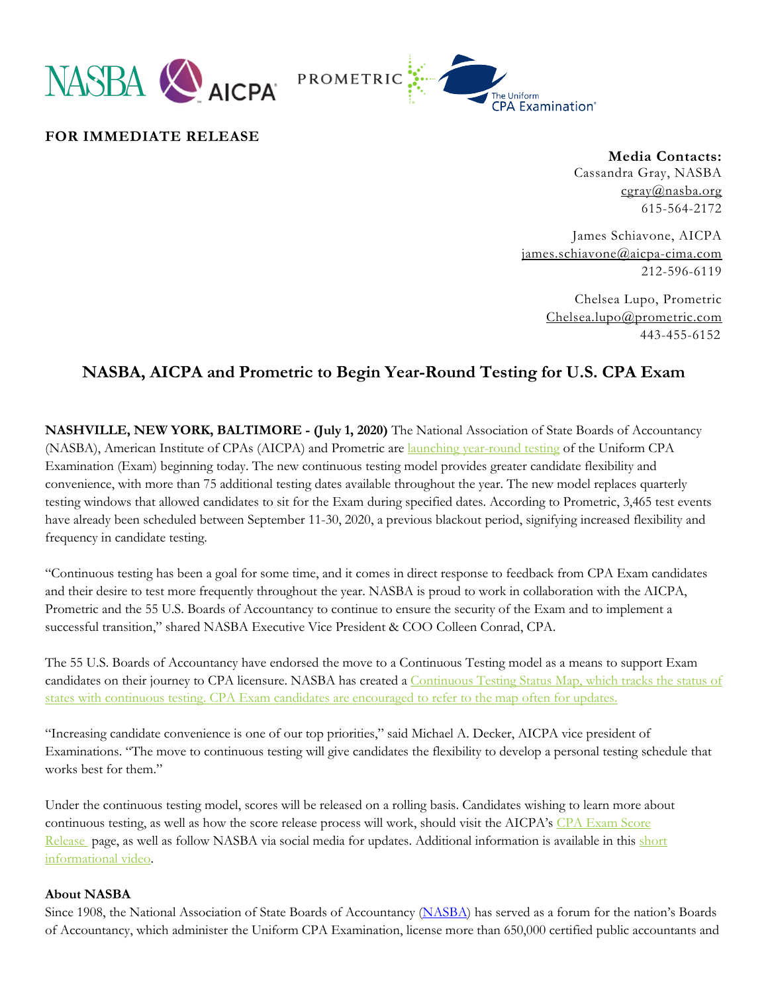



**FOR IMMEDIATE RELEASE**

**Media Contacts:** Cassandra Gray, NASBA [cgray@nasba.org](mailto:cgray@nasba.org) 615-564-2172

James Schiavone, AICPA [james.schiavone@aicpa-cima.com](mailto:james.schiavone@aicpa-cima.com) 212-596-6119

> Chelsea Lupo, Prometric [Chelsea.lupo@prometric.com](mailto:Chelsea.lupo@prometric.com) 443-455-6152

## **NASBA, AICPA and Prometric to Begin Year-Round Testing for U.S. CPA Exam**

**NASHVILLE, NEW YORK, BALTIMORE - (July 1, 2020)** The National Association of State Boards of Accountancy (NASBA), American Institute of CPAs (AICPA) and Prometric are [launching year-round testing](https://nasba.org/exams/continuous-testing/) of the Uniform CPA Examination (Exam) beginning today. The new continuous testing model provides greater candidate flexibility and convenience, with more than 75 additional testing dates available throughout the year. The new model replaces quarterly testing windows that allowed candidates to sit for the Exam during specified dates. According to Prometric, 3,465 test events have already been scheduled between September 11-30, 2020, a previous blackout period, signifying increased flexibility and frequency in candidate testing.

"Continuous testing has been a goal for some time, and it comes in direct response to feedback from CPA Exam candidates and their desire to test more frequently throughout the year. NASBA is proud to work in collaboration with the AICPA, Prometric and the 55 U.S. Boards of Accountancy to continue to ensure the security of the Exam and to implement a successful transition," shared NASBA Executive Vice President & COO Colleen Conrad, CPA.

The 55 U.S. Boards of Accountancy have endorsed the move to a Continuous Testing model as a means to support Exam candidates on their journey to CPA licensure. NASBA has created a [Continuous Testing Status Map,](https://nasba.org/exams/continuous-testing/) which tracks the status of states with continuous testing. CPA Exam candidates are encouraged to refer to the map often for updates.

"Increasing candidate convenience is one of our top priorities," said Michael A. Decker, AICPA vice president of Examinations. "The move to continuous testing will give candidates the flexibility to develop a personal testing schedule that works best for them."

Under the continuous testing model, scores will be released on a rolling basis. Candidates wishing to learn more about continuous testing, as well as how the score release process will work, should visit the AICPA's CPA Exam Score [Release](https://www.aicpa.org/becomeacpa/cpaexam/psychometricsandscoring/test-windows-score-release.html) page, as well as follow NASBA via social media for updates. Additional information is available in this short [informational video.](https://vimeo.com/433005295/607a5d3e97)

## **About NASBA**

Since 1908, the National Association of State Boards of Accountancy [\(NASBA\)](https://t.e2ma.net/click/beh6x/nnojkg/7i26yj) has served as a forum for the nation's Boards of Accountancy, which administer the Uniform CPA Examination, license more than 650,000 certified public accountants and